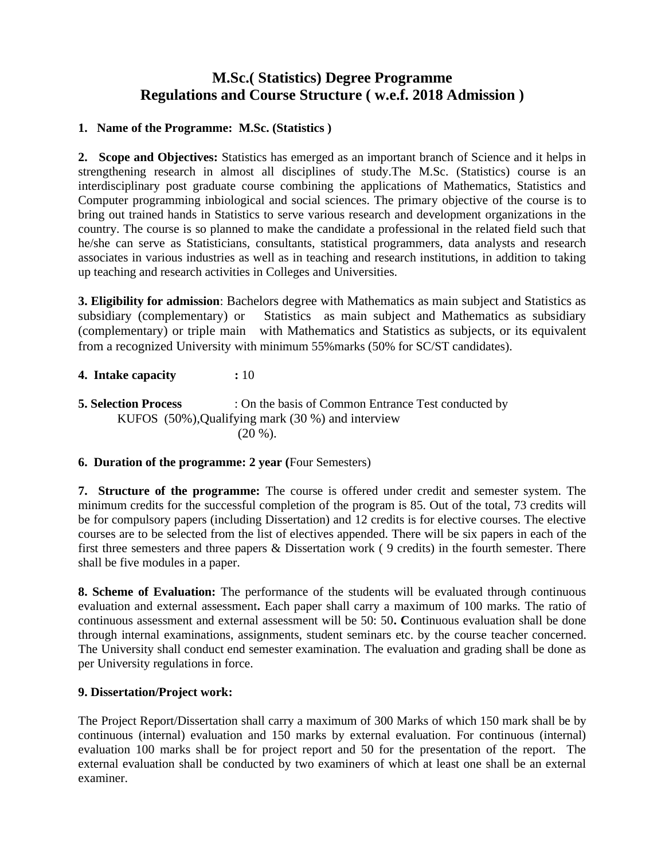## **M.Sc.( Statistics) Degree Programme Regulations and Course Structure ( w.e.f. 2018 Admission )**

#### **1. Name of the Programme: M.Sc. (Statistics )**

**2. Scope and Objectives:** Statistics has emerged as an important branch of Science and it helps in strengthening research in almost all disciplines of study.The M.Sc. (Statistics) course is an interdisciplinary post graduate course combining the applications of Mathematics, Statistics and Computer programming inbiological and social sciences. The primary objective of the course is to bring out trained hands in Statistics to serve various research and development organizations in the country. The course is so planned to make the candidate a professional in the related field such that he/she can serve as Statisticians, consultants, statistical programmers, data analysts and research associates in various industries as well as in teaching and research institutions, in addition to taking up teaching and research activities in Colleges and Universities.

**3. Eligibility for admission**: Bachelors degree with Mathematics as main subject and Statistics as subsidiary (complementary) or Statistics as main subject and Mathematics as subsidiary (complementary) or triple main with Mathematics and Statistics as subjects, or its equivalent from a recognized University with minimum 55%marks (50% for SC/ST candidates).

#### **4. Intake capacity :** 10

**5. Selection Process** : On the basis of Common Entrance Test conducted by KUFOS (50%),Qualifying mark (30 %) and interview  $(20 \%)$ .

#### **6. Duration of the programme: 2 year (**Four Semesters)

**7. Structure of the programme:** The course is offered under credit and semester system. The minimum credits for the successful completion of the program is 85. Out of the total, 73 credits will be for compulsory papers (including Dissertation) and 12 credits is for elective courses. The elective courses are to be selected from the list of electives appended. There will be six papers in each of the first three semesters and three papers & Dissertation work ( 9 credits) in the fourth semester. There shall be five modules in a paper.

**8. Scheme of Evaluation:** The performance of the students will be evaluated through continuous evaluation and external assessment**.** Each paper shall carry a maximum of 100 marks. The ratio of continuous assessment and external assessment will be 50: 50**. C**ontinuous evaluation shall be done through internal examinations, assignments, student seminars etc. by the course teacher concerned. The University shall conduct end semester examination. The evaluation and grading shall be done as per University regulations in force.

#### **9. Dissertation/Project work:**

The Project Report/Dissertation shall carry a maximum of 300 Marks of which 150 mark shall be by continuous (internal) evaluation and 150 marks by external evaluation. For continuous (internal) evaluation 100 marks shall be for project report and 50 for the presentation of the report. The external evaluation shall be conducted by two examiners of which at least one shall be an external examiner.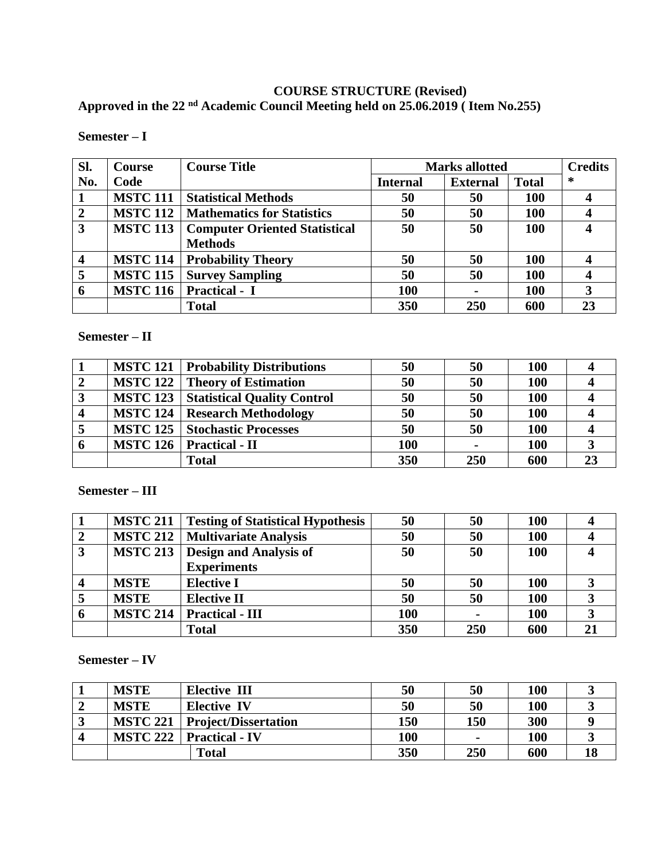## **COURSE STRUCTURE (Revised)**

**Approved in the 22 nd Academic Council Meeting held on 25.06.2019 ( Item No.255)**

| Sl.                     | Course          | <b>Course Title</b>                  | <b>Marks allotted</b> |                 |              | <b>Credits</b> |
|-------------------------|-----------------|--------------------------------------|-----------------------|-----------------|--------------|----------------|
| No.                     | Code            |                                      | <b>Internal</b>       | <b>External</b> | <b>Total</b> | ∗              |
|                         | <b>MSTC 111</b> | <b>Statistical Methods</b>           | 50                    | 50              | <b>100</b>   |                |
| $\overline{2}$          | <b>MSTC 112</b> | <b>Mathematics for Statistics</b>    | 50                    | 50              | 100          |                |
| 3                       | <b>MSTC 113</b> | <b>Computer Oriented Statistical</b> | 50                    | 50              | 100          |                |
|                         |                 | <b>Methods</b>                       |                       |                 |              |                |
| $\overline{\mathbf{4}}$ | <b>MSTC 114</b> | <b>Probability Theory</b>            | 50                    | 50              | <b>100</b>   |                |
| 5                       | <b>MSTC 115</b> | <b>Survey Sampling</b>               | 50                    | 50              | <b>100</b>   |                |
| 6                       | <b>MSTC 116</b> | <b>Practical - I</b>                 | 100                   |                 | 100          |                |
|                         |                 | <b>Total</b>                         | 350                   | 250             | 600          | 23             |

**Semester – I**

#### **Semester – II**

|   | <b>MSTC 121</b> Probability Distributions   | 50  | 50             | <b>100</b> |  |
|---|---------------------------------------------|-----|----------------|------------|--|
|   | <b>MSTC 122   Theory of Estimation</b>      | 50  | 50             | 100        |  |
| 3 | <b>MSTC 123</b> Statistical Quality Control | 50  | 50             | 100        |  |
|   | <b>MSTC 124   Research Methodology</b>      | 50  | 50             | 100        |  |
|   | <b>MSTC 125   Stochastic Processes</b>      | 50  | 50             | 100        |  |
| 6 | MSTC 126   Practical - II                   | 100 | $\blacksquare$ | 100        |  |
|   | <b>Total</b>                                | 350 | 250            | 600        |  |

**Semester – III**

|   | <b>MSTC 211</b> | <b>Testing of Statistical Hypothesis</b> | 50  | 50  | <b>100</b> |  |
|---|-----------------|------------------------------------------|-----|-----|------------|--|
|   |                 | <b>MSTC 212   Multivariate Analysis</b>  | 50  | 50  | 100        |  |
| 3 | <b>MSTC 213</b> | <b>Design and Analysis of</b>            | 50  | 50  | 100        |  |
|   |                 | <b>Experiments</b>                       |     |     |            |  |
|   | <b>MSTE</b>     | <b>Elective I</b>                        | 50  | 50  | <b>100</b> |  |
|   | <b>MSTE</b>     | <b>Elective II</b>                       | 50  | 50  | 100        |  |
| 6 | <b>MSTC 214</b> | <b>Practical - III</b>                   | 100 |     | 100        |  |
|   |                 | <b>Total</b>                             | 350 | 250 | 600        |  |

**Semester – IV**

|   | <b>MSTE</b>     | <b>Elective III</b>         | 50  | 50             | <b>100</b> |    |
|---|-----------------|-----------------------------|-----|----------------|------------|----|
|   | <b>MSTE</b>     | <b>Elective IV</b>          | 50  | 50             | <b>100</b> |    |
| ີ | <b>MSTC 221</b> | <b>Project/Dissertation</b> | 150 | 150            | 300        |    |
|   | <b>MSTC 222</b> | <b>Practical - IV</b>       | 100 | $\blacksquare$ | 100        |    |
|   |                 | <b>Total</b>                | 350 | 250            | 600        | 18 |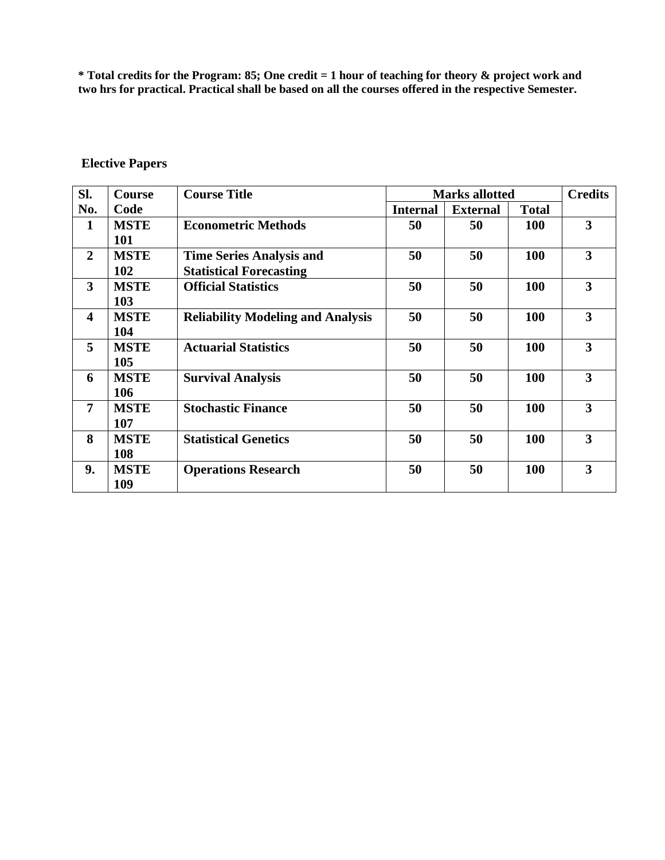**\* Total credits for the Program: 85; One credit = 1 hour of teaching for theory & project work and two hrs for practical. Practical shall be based on all the courses offered in the respective Semester.**

| SI.                     | <b>Course</b> | <b>Course Title</b>                      | <b>Marks allotted</b> |                 |              | <b>Credits</b>          |
|-------------------------|---------------|------------------------------------------|-----------------------|-----------------|--------------|-------------------------|
| No.                     | Code          |                                          | <b>Internal</b>       | <b>External</b> | <b>Total</b> |                         |
| $\mathbf{1}$            | <b>MSTE</b>   | <b>Econometric Methods</b>               | 50                    | 50              | <b>100</b>   | 3                       |
|                         | 101           |                                          |                       |                 |              |                         |
| $\overline{2}$          | <b>MSTE</b>   | <b>Time Series Analysis and</b>          | 50                    | 50              | 100          | 3                       |
|                         | 102           | <b>Statistical Forecasting</b>           |                       |                 |              |                         |
| $\overline{\mathbf{3}}$ | <b>MSTE</b>   | <b>Official Statistics</b>               | 50                    | 50              | 100          | 3                       |
|                         | 103           |                                          |                       |                 |              |                         |
| $\overline{\mathbf{4}}$ | <b>MSTE</b>   | <b>Reliability Modeling and Analysis</b> | 50                    | 50              | 100          | 3                       |
|                         | 104           |                                          |                       |                 |              |                         |
| 5                       | <b>MSTE</b>   | <b>Actuarial Statistics</b>              | 50                    | 50              | 100          | $\overline{\mathbf{3}}$ |
|                         | 105           |                                          |                       |                 |              |                         |
| 6                       | <b>MSTE</b>   | <b>Survival Analysis</b>                 | 50                    | 50              | 100          | 3                       |
|                         | 106           |                                          |                       |                 |              |                         |
| $\overline{7}$          | <b>MSTE</b>   | <b>Stochastic Finance</b>                | 50                    | 50              | 100          | 3                       |
|                         | 107           |                                          |                       |                 |              |                         |
| 8                       | <b>MSTE</b>   | <b>Statistical Genetics</b>              | 50                    | 50              | 100          | 3                       |
|                         | <b>108</b>    |                                          |                       |                 |              |                         |
| 9.                      | <b>MSTE</b>   | <b>Operations Research</b>               | 50                    | 50              | 100          | 3                       |
|                         | 109           |                                          |                       |                 |              |                         |

## **Elective Papers**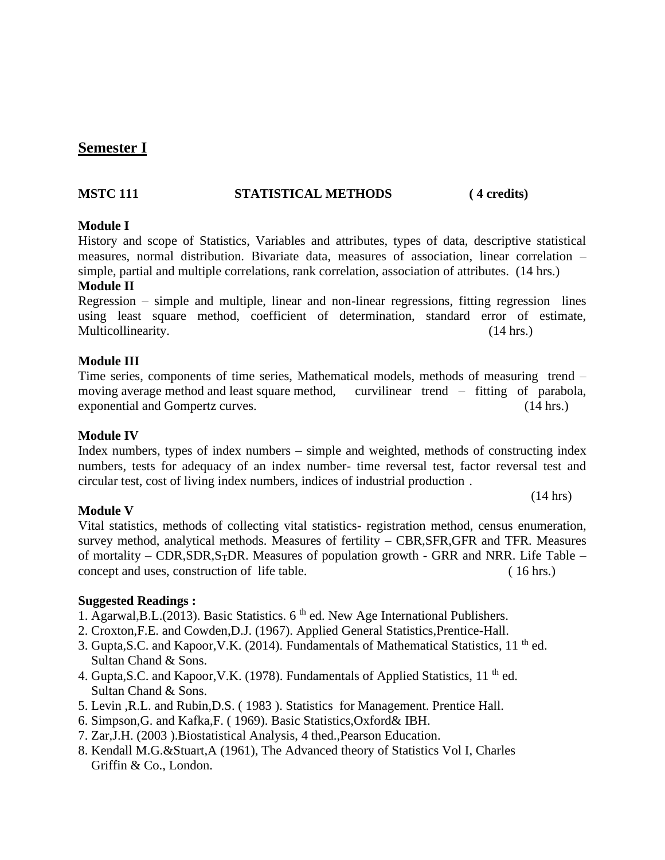## **Semester I**

#### **MSTC 111 STATISTICAL METHODS ( 4 credits)**

#### **Module I**

History and scope of Statistics, Variables and attributes, types of data, descriptive statistical measures, normal distribution. Bivariate data, measures of association, linear correlation – simple, partial and multiple correlations, rank correlation, association of attributes. (14 hrs.)

#### **Module II**

Regression – simple and multiple, linear and non-linear regressions, fitting regression lines using least square method, coefficient of determination, standard error of estimate, Multicollinearity. (14 hrs.)

#### **Module III**

#### Time series, components of time series, Mathematical models, methods of measuring trend – moving average method and least square method, curvilinear trend – fitting of parabola, exponential and Gompertz curves. (14 hrs.)

#### **Module IV**

**Module V**

Index numbers, types of index numbers – simple and weighted, methods of constructing index numbers, tests for adequacy of an index number- time reversal test, factor reversal test and circular test, cost of living index numbers, indices of industrial production .

#### (14 hrs)

Vital statistics, methods of collecting vital statistics- registration method, census enumeration, survey method, analytical methods. Measures of fertility – CBR,SFR,GFR and TFR. Measures of mortality – CDR, SDR, S<sub>T</sub>DR. Measures of population growth - GRR and NRR. Life Table – concept and uses, construction of life table. ( 16 hrs.)

- 1. Agarwal, B.L. (2013). Basic Statistics.  $6<sup>th</sup>$  ed. New Age International Publishers.
- 2. Croxton,F.E. and Cowden,D.J. (1967). Applied General Statistics,Prentice-Hall.
- 3. Gupta, S.C. and Kapoor, V.K. (2014). Fundamentals of Mathematical Statistics,  $11<sup>th</sup>$  ed. Sultan Chand & Sons.
- 4. Gupta, S.C. and Kapoor, V.K. (1978). Fundamentals of Applied Statistics, 11<sup>th</sup> ed. Sultan Chand & Sons.
- 5. Levin ,R.L. and Rubin,D.S. ( 1983 ). Statistics for Management. Prentice Hall.
- 6. Simpson,G. and Kafka,F. ( 1969). Basic Statistics,Oxford& IBH.
- 7. Zar,J.H. (2003 ).Biostatistical Analysis, 4 thed.,Pearson Education.
- 8. Kendall M.G.&Stuart,A (1961), The Advanced theory of Statistics Vol I, Charles Griffin & Co., London.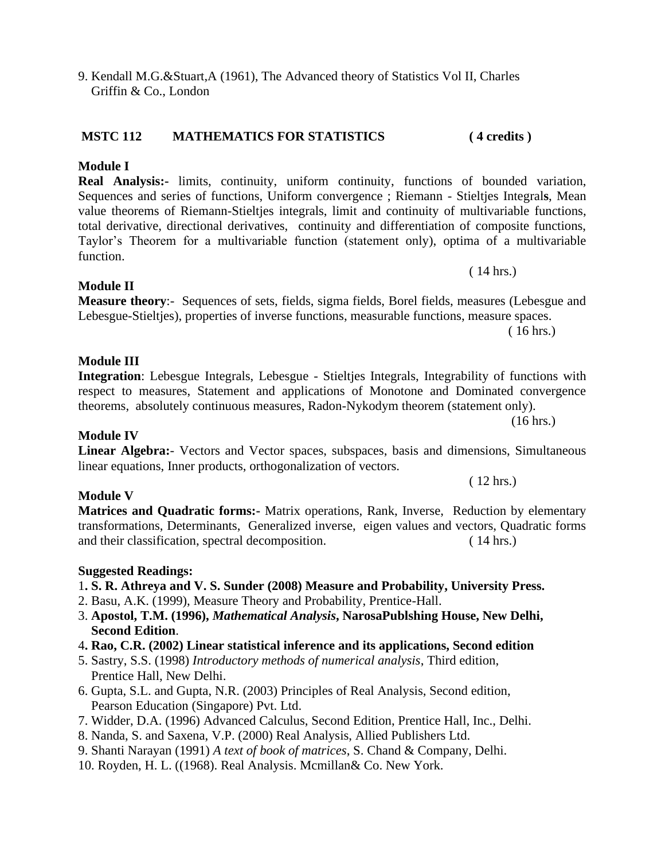## **MSTC 112 MATHEMATICS FOR STATISTICS ( 4 credits )**

## **Module I**

**Real Analysis:-** limits, continuity, uniform continuity, functions of bounded variation, Sequences and series of functions, Uniform convergence ; Riemann - Stieltjes Integral**s**, Mean value theorems of Riemann-Stieltjes integrals, limit and continuity of multivariable functions, total derivative, directional derivatives, continuity and differentiation of composite functions, Taylor's Theorem for a multivariable function (statement only), optima of a multivariable function.

**Module II Measure theory**:- Sequences of sets, fields, sigma fields, Borel fields, measures (Lebesgue and Lebesgue-Stieltjes), properties of inverse functions, measurable functions, measure spaces.

( 16 hrs.)

( 14 hrs.)

#### **Module III**

#### **Integration**: Lebesgue Integrals, Lebesgue - Stieltjes Integrals, Integrability of functions with respect to measures, Statement and applications of Monotone and Dominated convergence theorems, absolutely continuous measures, Radon-Nykodym theorem (statement only). (16 hrs.)

**Module IV**

#### **Linear Algebra:**- Vectors and Vector spaces, subspaces, basis and dimensions, Simultaneous linear equations, Inner products, orthogonalization of vectors. ( 12 hrs.)

#### **Module V**

**Matrices and Quadratic forms:-** Matrix operations, Rank, Inverse, Reduction by elementary transformations, Determinants, Generalized inverse, eigen values and vectors, Quadratic forms and their classification, spectral decomposition. (14 hrs.)

#### **Suggested Readings:**

#### 1**. S. R. Athreya and V. S. Sunder (2008) Measure and Probability, University Press.**

- 2. Basu, A.K. (1999), Measure Theory and Probability, Prentice-Hall.
- 3. **Apostol, T.M. (1996),** *Mathematical Analysis***, NarosaPublshing House, New Delhi, Second Edition**.
- 4**. Rao, C.R. (2002) Linear statistical inference and its applications, Second edition**
- 5. Sastry, S.S. (1998) *Introductory methods of numerical analysis*, Third edition, Prentice Hall, New Delhi.
- 6. Gupta, S.L. and Gupta, N.R. (2003) Principles of Real Analysis, Second edition, Pearson Education (Singapore) Pvt. Ltd.
- 7. Widder, D.A. (1996) Advanced Calculus, Second Edition, Prentice Hall, Inc., Delhi.
- 8. Nanda, S. and Saxena, V.P. (2000) Real Analysis, Allied Publishers Ltd.
- 9. Shanti Narayan (1991) *A text of book of matrices*, S. Chand & Company, Delhi.
- 10. Royden, H. L. ((1968). Real Analysis. Mcmillan& Co. New York.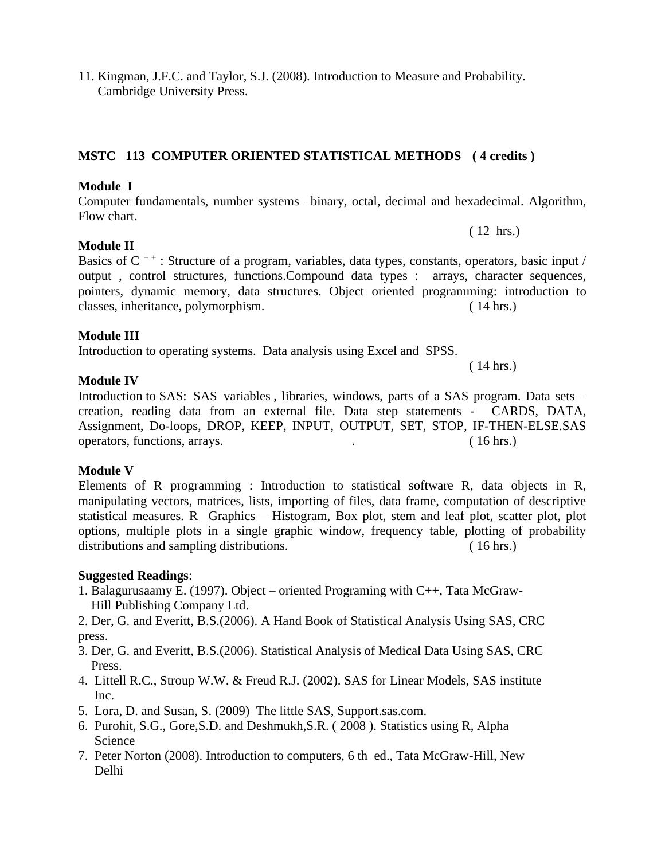11. Kingman, J.F.C. and Taylor, S.J. (2008). Introduction to Measure and Probability. Cambridge University Press.

## **MSTC 113 COMPUTER ORIENTED STATISTICAL METHODS ( 4 credits )**

## **Module I**

Computer fundamentals, number systems –binary, octal, decimal and hexadecimal. Algorithm, Flow chart.

( 12 hrs.)

( 14 hrs.)

## **Module II**

Basics of  $C^{++}$ : Structure of a program, variables, data types, constants, operators, basic input / output , control structures, functions.Compound data types : arrays, character sequences, pointers, dynamic memory, data structures. Object oriented programming: introduction to classes, inheritance, polymorphism. ( 14 hrs.)

#### **Module III**

Introduction to operating systems. Data analysis using Excel and SPSS.

#### **Module IV**

Introduction to SAS: SAS variables , libraries, windows, parts of a SAS program. Data sets – creation, reading data from an external file. Data step statements - CARDS, DATA, Assignment, Do-loops, DROP, KEEP, INPUT, OUTPUT, SET, STOP, IF-THEN-ELSE.SAS operators, functions, arrays. . ( 16 hrs.)

#### **Module V**

Elements of R programming : Introduction to statistical software R, data objects in R, manipulating vectors, matrices, lists, importing of files, data frame, computation of descriptive statistical measures. R Graphics – Histogram, Box plot, stem and leaf plot, scatter plot, plot options, multiple plots in a single graphic window, frequency table, plotting of probability distributions and sampling distributions. (16 hrs.)

- 1. Balagurusaamy E. (1997). Object oriented Programing with C++, Tata McGraw- Hill Publishing Company Ltd.
- 2. Der, G. and Everitt, B.S.(2006). A Hand Book of Statistical Analysis Using SAS, CRC press.
- 3. Der, G. and Everitt, B.S.(2006). Statistical Analysis of Medical Data Using SAS, CRC Press.
- 4. Littell R.C., Stroup W.W. & Freud R.J. (2002). SAS for Linear Models, SAS institute Inc.
- 5. Lora, D. and Susan, S. (2009) The little SAS, Support.sas.com.
- 6. Purohit, S.G., Gore,S.D. and Deshmukh,S.R. ( 2008 ). Statistics using R, Alpha Science
- 7. Peter Norton (2008). Introduction to computers, 6 th ed., Tata McGraw-Hill, New Delhi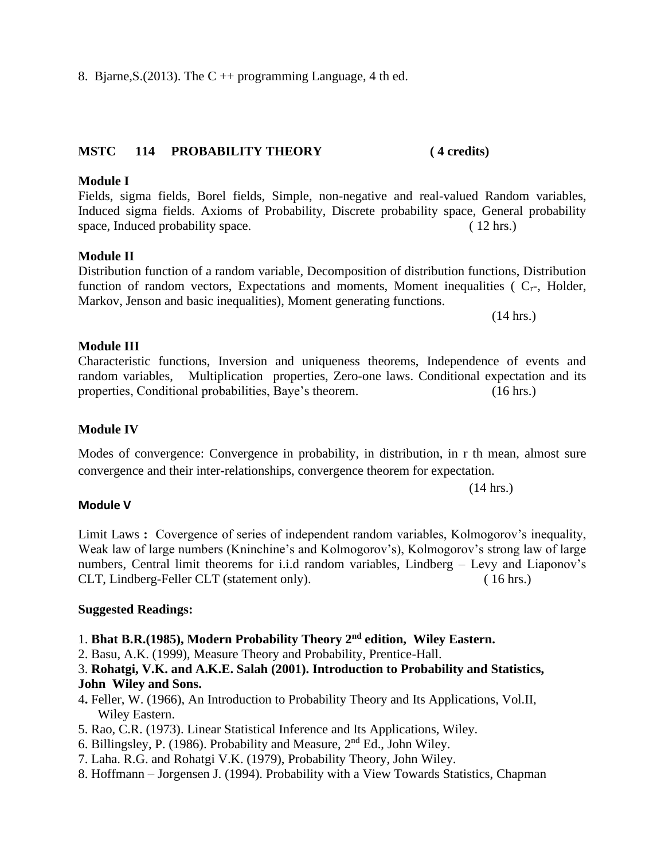# 8. Bjarne, S. (2013). The C  $++$  programming Language, 4 th ed.

## **MSTC 114 PROBABILITY THEORY ( 4 credits)**

## **Module I**

## Fields, sigma fields, Borel fields, Simple, non-negative and real-valued Random variables, Induced sigma fields. Axioms of Probability, Discrete probability space, General probability space, Induced probability space. (12 hrs.)

## **Module II**

#### Distribution function of a random variable, Decomposition of distribution functions, Distribution function of random vectors, Expectations and moments, Moment inequalities ( $C_{r}$ -, Holder, Markov, Jenson and basic inequalities), Moment generating functions.

(14 hrs.)

## **Module III**

## Characteristic functions, Inversion and uniqueness theorems, Independence of events and random variables, Multiplication properties, Zero-one laws. Conditional expectation and its

## **Module IV**

## Modes of convergence: Convergence in probability, in distribution, in r th mean, almost sure convergence and their inter-relationships, convergence theorem for expectation.

properties, Conditional probabilities, Baye's theorem. (16 hrs.)

(14 hrs.)

## **Module V**

Limit Laws **:** Covergence of series of independent random variables, Kolmogorov's inequality, Weak law of large numbers (Kninchine's and Kolmogorov's), Kolmogorov's strong law of large numbers, Central limit theorems for i.i.d random variables, Lindberg – Levy and Liaponov's CLT, Lindberg-Feller CLT (statement only). ( 16 hrs.)

## **Suggested Readings:**

## 1. **Bhat B.R.(1985), Modern Probability Theory 2nd edition, Wiley Eastern.**

2. Basu, A.K. (1999), Measure Theory and Probability, Prentice-Hall.

## 3. **Rohatgi, V.K. and A.K.E. Salah (2001). Introduction to Probability and Statistics, John Wiley and Sons.**

- 4**.** Feller, W. (1966), An Introduction to Probability Theory and Its Applications, Vol.II, Wiley Eastern.
- 5. Rao, C.R. (1973). Linear Statistical Inference and Its Applications, Wiley.
- 6. Billingsley, P. (1986). Probability and Measure,  $2<sup>nd</sup> Ed.$ , John Wiley.
- 7. Laha. R.G. and Rohatgi V.K. (1979), Probability Theory, John Wiley.
- 8. Hoffmann Jorgensen J. (1994). Probability with a View Towards Statistics, Chapman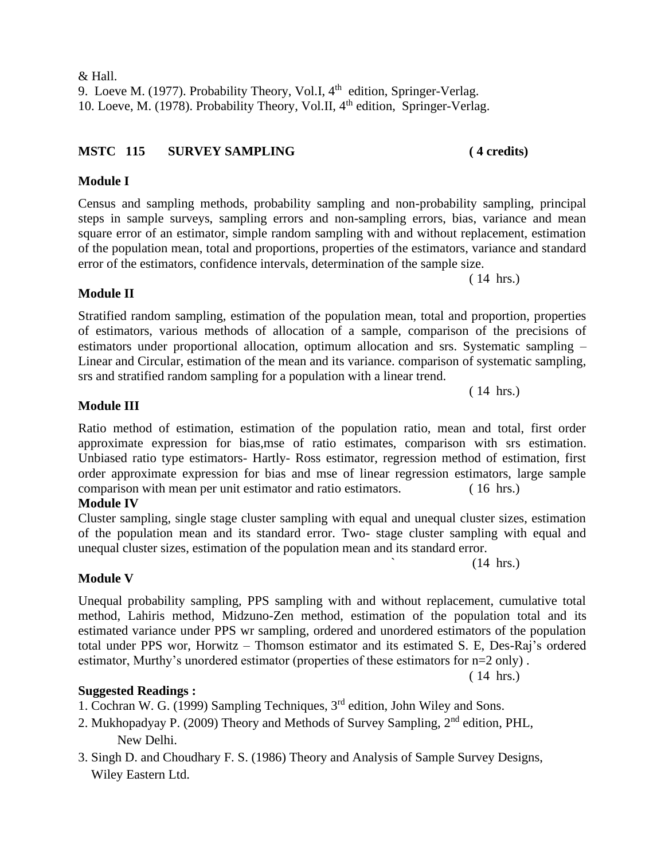& Hall. 9. Loeve M. (1977). Probability Theory, Vol.I,  $4<sup>th</sup>$  edition, Springer-Verlag. 10. Loeve, M. (1978). Probability Theory, Vol.II, 4<sup>th</sup> edition, Springer-Verlag.

## **MSTC 115 SURVEY SAMPLING ( 4 credits)**

## **Module I**

Census and sampling methods, probability sampling and non-probability sampling, principal steps in sample surveys, sampling errors and non-sampling errors, bias, variance and mean square error of an estimator, simple random sampling with and without replacement, estimation of the population mean, total and proportions, properties of the estimators, variance and standard error of the estimators, confidence intervals, determination of the sample size.

**Module II** 

Stratified random sampling, estimation of the population mean, total and proportion, properties of estimators, various methods of allocation of a sample, comparison of the precisions of estimators under proportional allocation, optimum allocation and srs. Systematic sampling – Linear and Circular, estimation of the mean and its variance. comparison of systematic sampling, srs and stratified random sampling for a population with a linear trend.

#### **Module III**

Ratio method of estimation, estimation of the population ratio, mean and total, first order approximate expression for bias,mse of ratio estimates, comparison with srs estimation. Unbiased ratio type estimators- Hartly- Ross estimator, regression method of estimation, first order approximate expression for bias and mse of linear regression estimators, large sample comparison with mean per unit estimator and ratio estimators. ( 16 hrs.) **Module IV**

Cluster sampling, single stage cluster sampling with equal and unequal cluster sizes, estimation of the population mean and its standard error. Two- stage cluster sampling with equal and unequal cluster sizes, estimation of the population mean and its standard error.

#### **Module V**

Unequal probability sampling, PPS sampling with and without replacement, cumulative total method, Lahiris method, Midzuno-Zen method, estimation of the population total and its estimated variance under PPS wr sampling, ordered and unordered estimators of the population total under PPS wor, Horwitz – Thomson estimator and its estimated S. E, Des-Raj's ordered estimator, Murthy's unordered estimator (properties of these estimators for n=2 only) .

#### **Suggested Readings :**

- 1. Cochran W. G. (1999) Sampling Techniques, 3rd edition, John Wiley and Sons.
- 2. Mukhopadyay P. (2009) Theory and Methods of Survey Sampling, 2nd edition, PHL, New Delhi.
- 3. Singh D. and Choudhary F. S. (1986) Theory and Analysis of Sample Survey Designs, Wiley Eastern Ltd.

( 14 hrs.)

( 14 hrs.)

 $(14 \text{ hrs.})$ 

( 14 hrs.)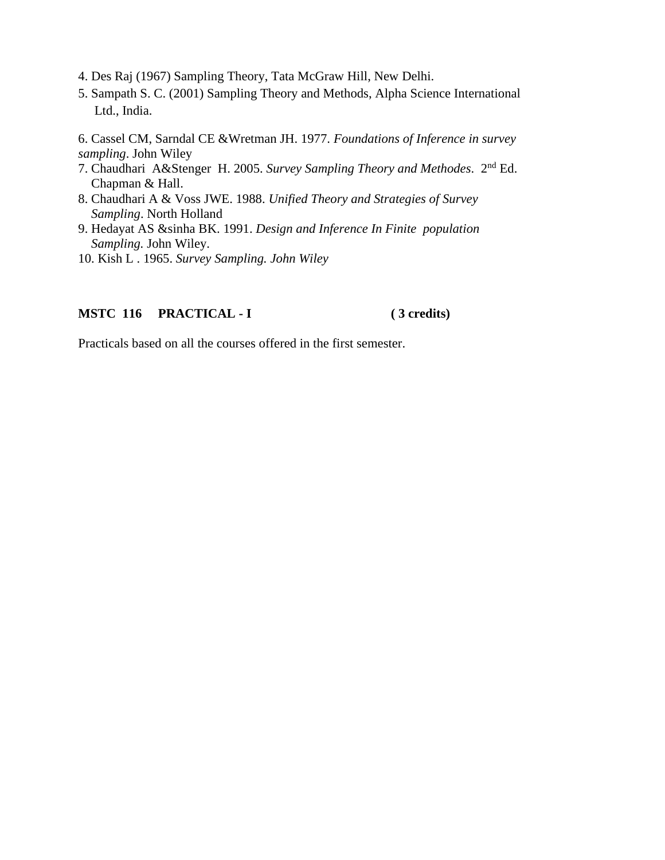- 4. Des Raj (1967) Sampling Theory, Tata McGraw Hill, New Delhi.
- 5. Sampath S. C. (2001) Sampling Theory and Methods, Alpha Science International Ltd., India.

6. Cassel CM, Sarndal CE &Wretman JH. 1977. *Foundations of Inference in survey sampling*. John Wiley

- 7. Chaudhari A&Stenger H. 2005. *Survey Sampling Theory and Methodes*. 2nd Ed. Chapman & Hall.
- 8. Chaudhari A & Voss JWE. 1988. *Unified Theory and Strategies of Survey Sampling*. North Holland
- 9. Hedayat AS &sinha BK. 1991. *Design and Inference In Finite population Sampling.* John Wiley.
- 10. Kish L . 1965. *Survey Sampling. John Wiley*

#### **MSTC 116 PRACTICAL - I ( 3 credits)**

Practicals based on all the courses offered in the first semester.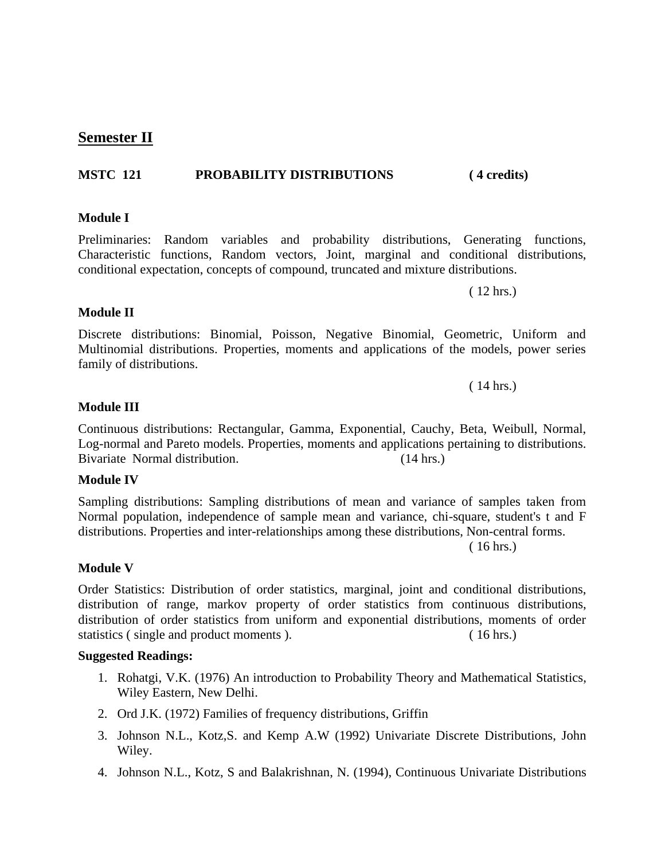## **MSTC 121 PROBABILITY DISTRIBUTIONS ( 4 credits)**

## **Module I**

**Semester II**

Preliminaries: Random variables and probability distributions, Generating functions, Characteristic functions, Random vectors, Joint, marginal and conditional distributions, conditional expectation, concepts of compound, truncated and mixture distributions.

Discrete distributions: Binomial, Poisson, Negative Binomial, Geometric, Uniform and Multinomial distributions. Properties, moments and applications of the models, power series family of distributions.

Continuous distributions: Rectangular, Gamma, Exponential, Cauchy, Beta, Weibull, Normal, Log-normal and Pareto models. Properties, moments and applications pertaining to distributions. Bivariate Normal distribution. (14 hrs.)

#### **Module IV**

Sampling distributions: Sampling distributions of mean and variance of samples taken from Normal population, independence of sample mean and variance, chi-square, student's t and F distributions. Properties and inter-relationships among these distributions, Non-central forms.

( 16 hrs.)

#### **Module V**

Order Statistics: Distribution of order statistics, marginal, joint and conditional distributions, distribution of range, markov property of order statistics from continuous distributions, distribution of order statistics from uniform and exponential distributions, moments of order statistics ( single and product moments ). ( 16 hrs.)

#### **Suggested Readings:**

- 1. Rohatgi, V.K. (1976) An introduction to Probability Theory and Mathematical Statistics, Wiley Eastern, New Delhi.
- 2. Ord J.K. (1972) Families of frequency distributions, Griffin
- 3. Johnson N.L., Kotz,S. and Kemp A.W (1992) Univariate Discrete Distributions, John Wiley.
- 4. Johnson N.L., Kotz, S and Balakrishnan, N. (1994), Continuous Univariate Distributions

## **Module III**

**Module II** 

( 14 hrs.)

( 12 hrs.)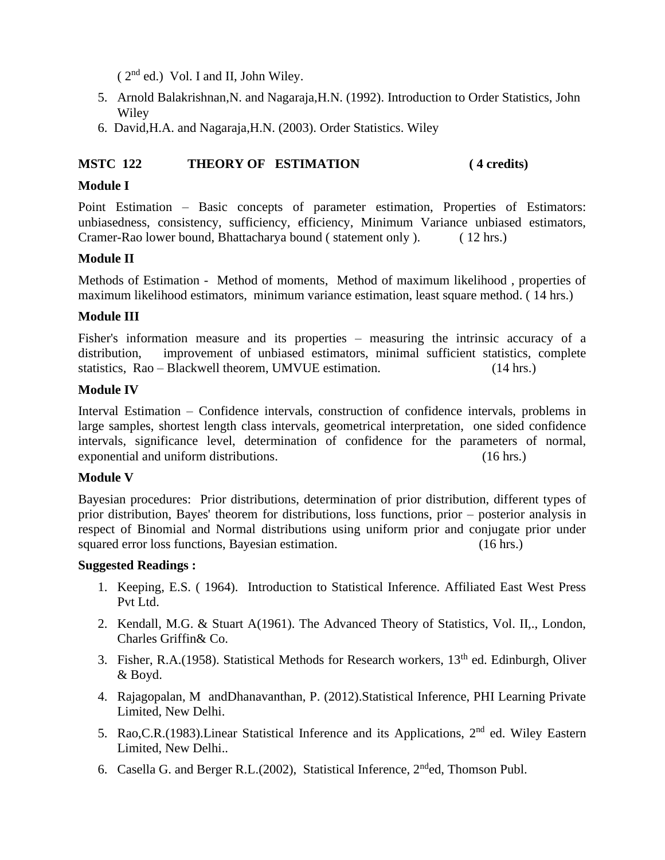$(2<sup>nd</sup>$  ed.) Vol. I and II, John Wiley.

- 5. Arnold Balakrishnan,N. and Nagaraja,H.N. (1992). Introduction to Order Statistics, John Wiley
- 6. David,H.A. and Nagaraja,H.N. (2003). Order Statistics. Wiley

## **MSTC 122 THEORY OF ESTIMATION ( 4 credits)**

#### **Module I**

Point Estimation – Basic concepts of parameter estimation, Properties of Estimators: unbiasedness, consistency, sufficiency, efficiency, Minimum Variance unbiased estimators, Cramer-Rao lower bound, Bhattacharya bound ( statement only ). ( 12 hrs.)

#### **Module II**

Methods of Estimation - Method of moments, Method of maximum likelihood , properties of maximum likelihood estimators, minimum variance estimation, least square method. ( 14 hrs.)

#### **Module III**

Fisher's information measure and its properties – measuring the intrinsic accuracy of a distribution, improvement of unbiased estimators, minimal sufficient statistics, complete statistics, Rao – Blackwell theorem, UMVUE estimation. (14 hrs.)

#### **Module IV**

Interval Estimation – Confidence intervals, construction of confidence intervals, problems in large samples, shortest length class intervals, geometrical interpretation, one sided confidence intervals, significance level, determination of confidence for the parameters of normal, exponential and uniform distributions. (16 hrs.)

#### **Module V**

Bayesian procedures: Prior distributions, determination of prior distribution, different types of prior distribution, Bayes' theorem for distributions, loss functions, prior – posterior analysis in respect of Binomial and Normal distributions using uniform prior and conjugate prior under squared error loss functions, Bayesian estimation. (16 hrs.)

- 1. Keeping, E.S. ( 1964). Introduction to Statistical Inference. Affiliated East West Press Pvt Ltd.
- 2. Kendall, M.G. & Stuart A(1961). The Advanced Theory of Statistics, Vol. II,., London, Charles Griffin& Co.
- 3. Fisher, R.A.(1958). Statistical Methods for Research workers,  $13<sup>th</sup>$  ed. Edinburgh, Oliver & Boyd.
- 4. Rajagopalan, M andDhanavanthan, P. (2012).Statistical Inference, PHI Learning Private Limited, New Delhi.
- 5. Rao, C.R. (1983). Linear Statistical Inference and its Applications, 2<sup>nd</sup> ed. Wiley Eastern Limited, New Delhi..
- 6. Casella G. and Berger R.L.(2002), Statistical Inference,  $2<sup>nd</sup>$ ed, Thomson Publ.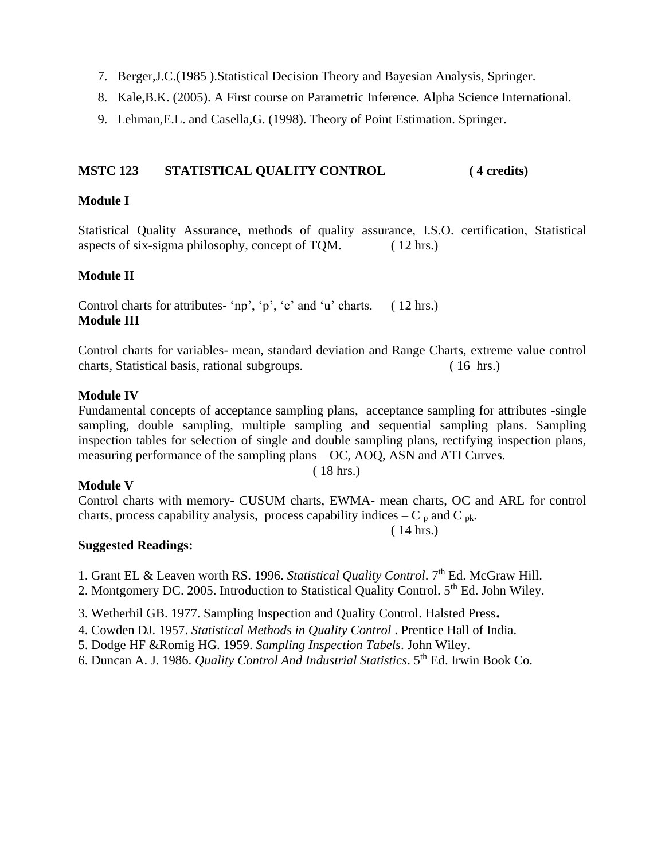- 7. Berger,J.C.(1985 ).Statistical Decision Theory and Bayesian Analysis, Springer.
- 8. Kale,B.K. (2005). A First course on Parametric Inference. Alpha Science International.
- 9. Lehman,E.L. and Casella,G. (1998). Theory of Point Estimation. Springer.

#### **MSTC 123 STATISTICAL QUALITY CONTROL ( 4 credits)**

#### **Module I**

Statistical Quality Assurance, methods of quality assurance, I.S.O. certification, Statistical aspects of six-sigma philosophy, concept of TQM. ( 12 hrs.)

#### **Module II**

Control charts for attributes- 'np', 'p', 'c' and 'u' charts. ( 12 hrs.) **Module III**

Control charts for variables- mean, standard deviation and Range Charts, extreme value control charts, Statistical basis, rational subgroups. ( 16 hrs.)

#### **Module IV**

Fundamental concepts of acceptance sampling plans, acceptance sampling for attributes -single sampling, double sampling, multiple sampling and sequential sampling plans. Sampling inspection tables for selection of single and double sampling plans, rectifying inspection plans, measuring performance of the sampling plans – OC, AOQ, ASN and ATI Curves. ( 18 hrs.)

#### **Module V**

Control charts with memory- CUSUM charts, EWMA- mean charts, OC and ARL for control charts, process capability analysis, process capability indices  $-C_p$  and  $C_{pk}$ .

#### ( 14 hrs.)

- 1. Grant EL & Leaven worth RS. 1996. *Statistical Quality Control*. 7<sup>th</sup> Ed. McGraw Hill.
- 2. Montgomery DC. 2005. Introduction to Statistical Quality Control. 5<sup>th</sup> Ed. John Wiley.
- 3. Wetherhil GB. 1977. Sampling Inspection and Quality Control. Halsted Press.
- 4. Cowden DJ. 1957. *Statistical Methods in Quality Control* . Prentice Hall of India.
- 5. Dodge HF &Romig HG. 1959. *Sampling Inspection Tabels*. John Wiley.
- 6. Duncan A. J. 1986. *Quality Control And Industrial Statistics*. 5th Ed. Irwin Book Co.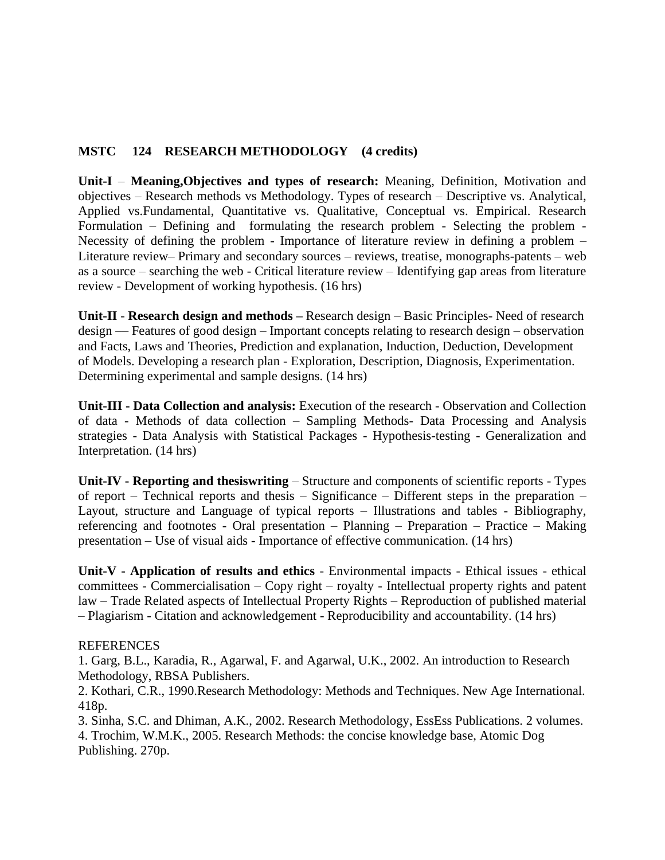#### **MSTC 124 RESEARCH METHODOLOGY (4 credits)**

**Unit-I** – **Meaning,Objectives and types of research:** Meaning, Definition, Motivation and objectives – Research methods vs Methodology. Types of research – Descriptive vs. Analytical, Applied vs.Fundamental, Quantitative vs. Qualitative, Conceptual vs. Empirical. Research Formulation – Defining and formulating the research problem - Selecting the problem - Necessity of defining the problem - Importance of literature review in defining a problem – Literature review– Primary and secondary sources – reviews, treatise, monographs-patents – web as a source – searching the web - Critical literature review – Identifying gap areas from literature review - Development of working hypothesis. (16 hrs)

**Unit-II** - **Research design and methods –** Research design – Basic Principles- Need of research design –– Features of good design – Important concepts relating to research design – observation and Facts, Laws and Theories, Prediction and explanation, Induction, Deduction, Development of Models. Developing a research plan - Exploration, Description, Diagnosis, Experimentation. Determining experimental and sample designs. (14 hrs)

**Unit-III - Data Collection and analysis:** Execution of the research - Observation and Collection of data - Methods of data collection – Sampling Methods- Data Processing and Analysis strategies - Data Analysis with Statistical Packages - Hypothesis-testing - Generalization and Interpretation. (14 hrs)

**Unit-IV - Reporting and thesiswriting** – Structure and components of scientific reports - Types of report – Technical reports and thesis – Significance – Different steps in the preparation – Layout, structure and Language of typical reports – Illustrations and tables - Bibliography, referencing and footnotes - Oral presentation – Planning – Preparation – Practice – Making presentation – Use of visual aids - Importance of effective communication. (14 hrs)

**Unit-V - Application of results and ethics** - Environmental impacts - Ethical issues - ethical committees - Commercialisation – Copy right – royalty - Intellectual property rights and patent law – Trade Related aspects of Intellectual Property Rights – Reproduction of published material – Plagiarism - Citation and acknowledgement - Reproducibility and accountability. (14 hrs)

#### **REFERENCES**

1. Garg, B.L., Karadia, R., Agarwal, F. and Agarwal, U.K., 2002. An introduction to Research Methodology, RBSA Publishers.

2. Kothari, C.R., 1990.Research Methodology: Methods and Techniques. New Age International. 418p.

3. Sinha, S.C. and Dhiman, A.K., 2002. Research Methodology, EssEss Publications. 2 volumes. 4. Trochim, W.M.K., 2005. Research Methods: the concise knowledge base, Atomic Dog Publishing. 270p.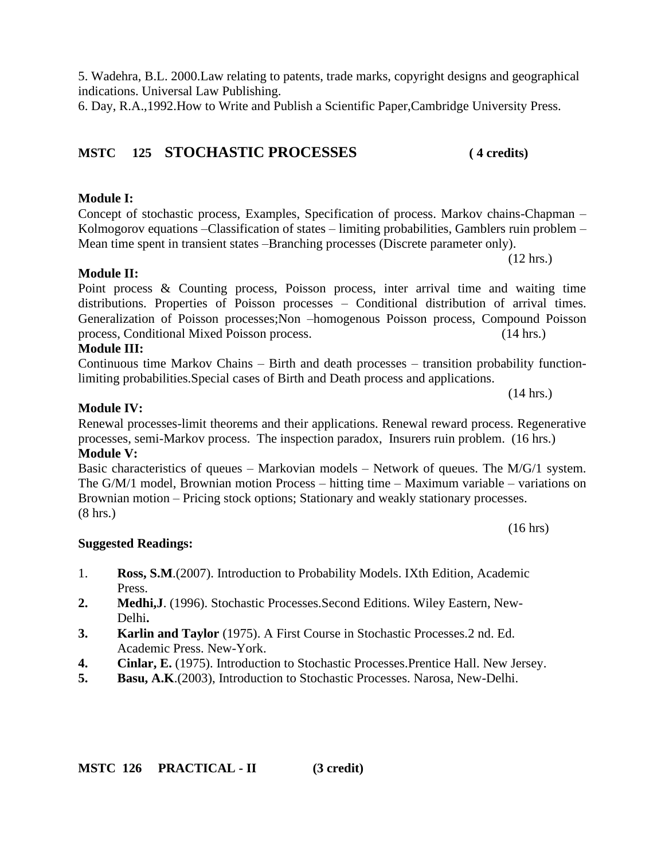5. Wadehra, B.L. 2000.Law relating to patents, trade marks, copyright designs and geographical indications. Universal Law Publishing.

6. Day, R.A.,1992.How to Write and Publish a Scientific Paper,Cambridge University Press.

## **MSTC 125 STOCHASTIC PROCESSES ( 4 credits)**

## **Module I:**

**Module II:** 

Concept of stochastic process, Examples, Specification of process. Markov chains-Chapman – Kolmogorov equations –Classification of states – limiting probabilities, Gamblers ruin problem – Mean time spent in transient states –Branching processes (Discrete parameter only).

(12 hrs.)

Point process & Counting process, Poisson process, inter arrival time and waiting time distributions. Properties of Poisson processes – Conditional distribution of arrival times. Generalization of Poisson processes;Non –homogenous Poisson process, Compound Poisson process, Conditional Mixed Poisson process. (14 hrs.)

#### **Module III:**

Continuous time Markov Chains – Birth and death processes – transition probability functionlimiting probabilities.Special cases of Birth and Death process and applications.

#### **Module IV:**

Renewal processes-limit theorems and their applications. Renewal reward process. Regenerative processes, semi-Markov process. The inspection paradox, Insurers ruin problem. (16 hrs.) **Module V:** 

Basic characteristics of queues – Markovian models – Network of queues. The  $M/G/1$  system. The G/M/1 model, Brownian motion Process – hitting time – Maximum variable – variations on Brownian motion – Pricing stock options; Stationary and weakly stationary processes. (8 hrs.)

#### **Suggested Readings:**

- 1. **Ross, S.M**.(2007). Introduction to Probability Models. IXth Edition, Academic Press.
- **2. Medhi,J**. (1996). Stochastic Processes.Second Editions. Wiley Eastern, New- Delhi**.**
- **3. Karlin and Taylor** (1975). A First Course in Stochastic Processes.2 nd. Ed. Academic Press. New-York.
- **4. Cinlar, E.** (1975). Introduction to Stochastic Processes.Prentice Hall. New Jersey.
- **5. Basu, A.K**.(2003), Introduction to Stochastic Processes. Narosa, New-Delhi.

(16 hrs)

(14 hrs.)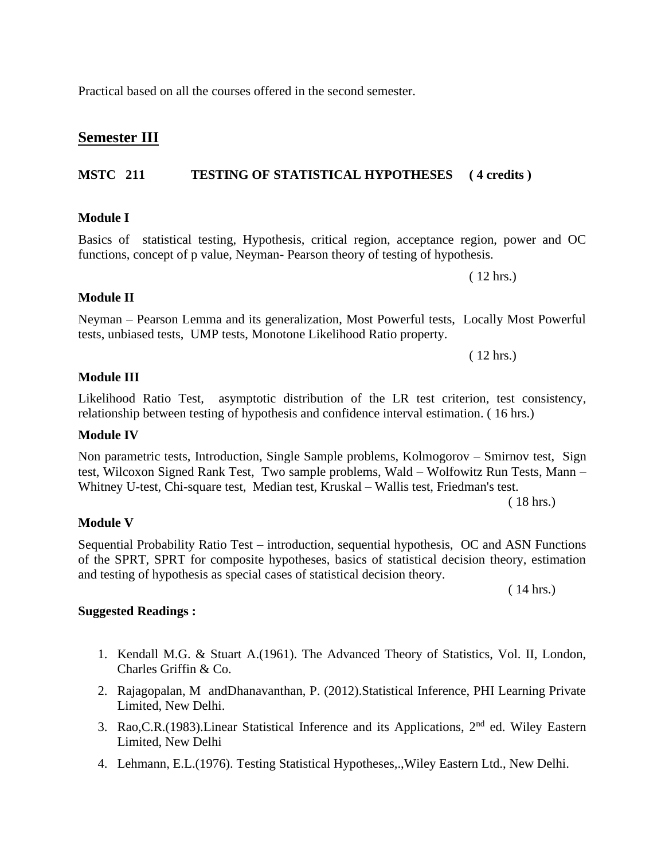Practical based on all the courses offered in the second semester.

## **Semester III**

## **MSTC 211 TESTING OF STATISTICAL HYPOTHESES ( 4 credits )**

## **Module I**

Basics of statistical testing, Hypothesis, critical region, acceptance region, power and OC functions, concept of p value, Neyman- Pearson theory of testing of hypothesis.

#### **Module II**

## Neyman – Pearson Lemma and its generalization, Most Powerful tests, Locally Most Powerful tests, unbiased tests, UMP tests, Monotone Likelihood Ratio property.

( 12 hrs.) **Module III**

Likelihood Ratio Test, asymptotic distribution of the LR test criterion, test consistency, relationship between testing of hypothesis and confidence interval estimation. ( 16 hrs.)

#### **Module IV**

Non parametric tests, Introduction, Single Sample problems, Kolmogorov – Smirnov test, Sign test, Wilcoxon Signed Rank Test, Two sample problems, Wald – Wolfowitz Run Tests, Mann – Whitney U-test, Chi-square test, Median test, Kruskal – Wallis test, Friedman's test.

( 18 hrs.)

( 12 hrs.)

#### **Module V**

Sequential Probability Ratio Test – introduction, sequential hypothesis, OC and ASN Functions of the SPRT, SPRT for composite hypotheses, basics of statistical decision theory, estimation and testing of hypothesis as special cases of statistical decision theory.

( 14 hrs.)

- 1. Kendall M.G. & Stuart A.(1961). The Advanced Theory of Statistics, Vol. II, London, Charles Griffin & Co.
- 2. Rajagopalan, M andDhanavanthan, P. (2012).Statistical Inference, PHI Learning Private Limited, New Delhi.
- 3. Rao, C.R. (1983). Linear Statistical Inference and its Applications, 2<sup>nd</sup> ed. Wiley Eastern Limited, New Delhi
- 4. Lehmann, E.L.(1976). Testing Statistical Hypotheses,.,Wiley Eastern Ltd., New Delhi.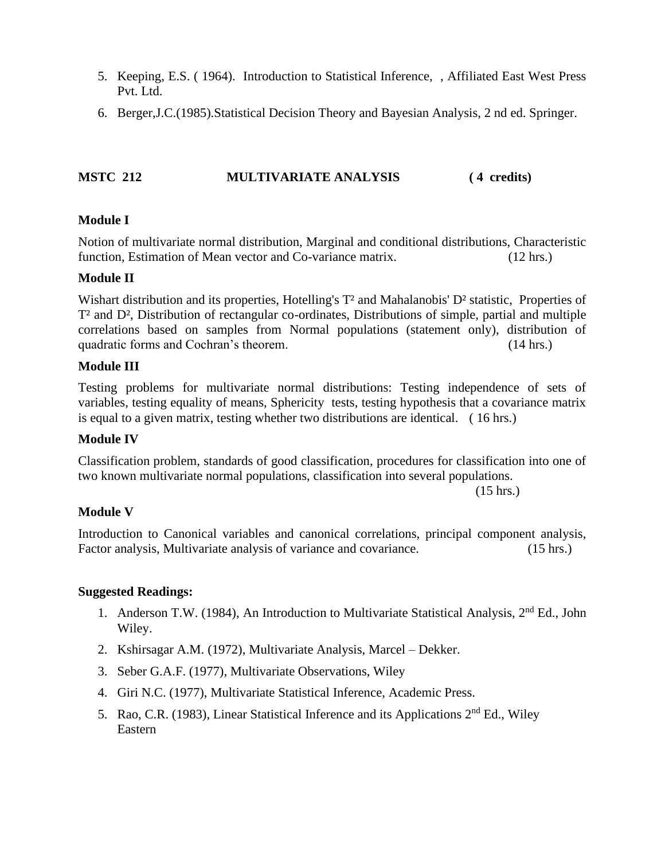- 5. Keeping, E.S. ( 1964). Introduction to Statistical Inference, , Affiliated East West Press Pvt. Ltd.
- 6. Berger,J.C.(1985).Statistical Decision Theory and Bayesian Analysis, 2 nd ed. Springer.

#### **MSTC 212 MULTIVARIATE ANALYSIS** (4 credits)

#### **Module I**

Notion of multivariate normal distribution, Marginal and conditional distributions, Characteristic function, Estimation of Mean vector and Co-variance matrix. (12 hrs.)

#### **Module II**

Wishart distribution and its properties, Hotelling's  $T^2$  and Mahalanobis' D<sup>2</sup> statistic, Properties of T² and D², Distribution of rectangular co-ordinates, Distributions of simple, partial and multiple correlations based on samples from Normal populations (statement only), distribution of quadratic forms and Cochran's theorem. (14 hrs.)

#### **Module III**

Testing problems for multivariate normal distributions: Testing independence of sets of variables, testing equality of means, Sphericity tests, testing hypothesis that a covariance matrix is equal to a given matrix, testing whether two distributions are identical. ( 16 hrs.)

#### **Module IV**

Classification problem, standards of good classification, procedures for classification into one of two known multivariate normal populations, classification into several populations.

(15 hrs.)

#### **Module V**

Introduction to Canonical variables and canonical correlations, principal component analysis, Factor analysis, Multivariate analysis of variance and covariance. (15 hrs.)

- 1. Anderson T.W. (1984), An Introduction to Multivariate Statistical Analysis,  $2<sup>nd</sup> Ed.$ , John Wiley.
- 2. Kshirsagar A.M. (1972), Multivariate Analysis, Marcel Dekker.
- 3. Seber G.A.F. (1977), Multivariate Observations, Wiley
- 4. Giri N.C. (1977), Multivariate Statistical Inference, Academic Press.
- 5. Rao, C.R. (1983), Linear Statistical Inference and its Applications  $2<sup>nd</sup>$  Ed., Wiley Eastern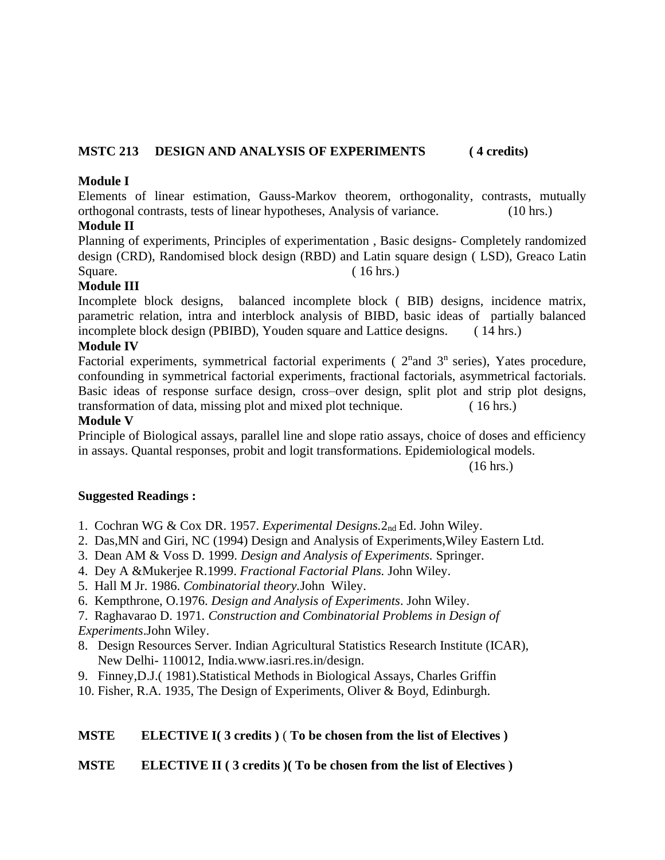#### **MSTC 213 DESIGN AND ANALYSIS OF EXPERIMENTS ( 4 credits)**

#### **Module I**

Elements of linear estimation, Gauss-Markov theorem, orthogonality, contrasts, mutually orthogonal contrasts, tests of linear hypotheses, Analysis of variance. (10 hrs.)

#### **Module II**

Planning of experiments, Principles of experimentation , Basic designs- Completely randomized design (CRD), Randomised block design (RBD) and Latin square design ( LSD), Greaco Latin Square. (16 hrs.)

#### **Module III**

Incomplete block designs, balanced incomplete block ( BIB) designs, incidence matrix, parametric relation, intra and interblock analysis of BIBD, basic ideas of partially balanced incomplete block design (PBIBD), Youden square and Lattice designs. ( 14 hrs.)

#### **Module IV**

Factorial experiments, symmetrical factorial experiments ( $2<sup>n</sup>$ and  $3<sup>n</sup>$  series), Yates procedure, confounding in symmetrical factorial experiments, fractional factorials, asymmetrical factorials. Basic ideas of response surface design, cross–over design, split plot and strip plot designs, transformation of data, missing plot and mixed plot technique. ( 16 hrs.)

#### **Module V**

Principle of Biological assays, parallel line and slope ratio assays, choice of doses and efficiency in assays. Quantal responses, probit and logit transformations. Epidemiological models.

(16 hrs.)

#### **Suggested Readings :**

- 1. Cochran WG & Cox DR. 1957. *Experimental Designs.*2nd Ed. John Wiley.
- 2. Das,MN and Giri, NC (1994) Design and Analysis of Experiments,Wiley Eastern Ltd.
- 3. Dean AM & Voss D. 1999. *Design and Analysis of Experiments.* Springer.
- 4. Dey A &Mukerjee R.1999. *Fractional Factorial Plans.* John Wiley.
- 5. Hall M Jr. 1986. *Combinatorial theory.*John Wiley.
- 6. Kempthrone, O.1976. *Design and Analysis of Experiments*. John Wiley.
- 7. Raghavarao D. 1971*. Construction and Combinatorial Problems in Design of Experiments*.John Wiley.
- 8. Design Resources Server. Indian Agricultural Statistics Research Institute (ICAR), New Delhi- 110012, India.www.iasri.res.in/design.
- 9. Finney,D.J.( 1981).Statistical Methods in Biological Assays, Charles Griffin
- 10. Fisher, R.A. 1935, The Design of Experiments, Oliver & Boyd, Edinburgh.

#### **MSTE ELECTIVE I( 3 credits )** ( **To be chosen from the list of Electives )**

#### **MSTE ELECTIVE II ( 3 credits )( To be chosen from the list of Electives )**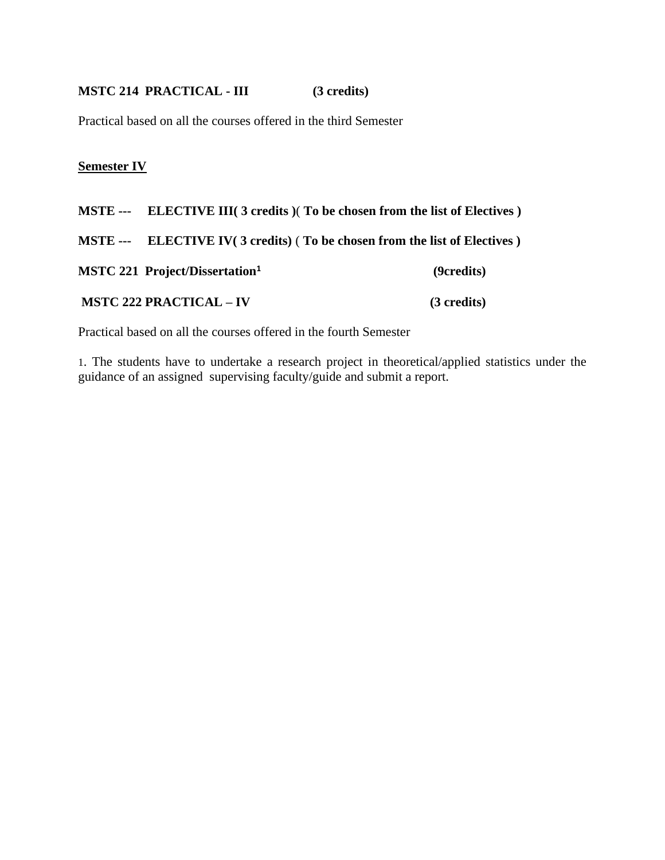#### **MSTC 214 PRACTICAL - III (3 credits)**

Practical based on all the courses offered in the third Semester

#### **Semester IV**

- **MSTE --- ELECTIVE III( 3 credits )**( **To be chosen from the list of Electives )**
- **MSTE --- ELECTIVE IV( 3 credits)** ( **To be chosen from the list of Electives )**

**MSTC 221 Project/Dissertation<sup>1</sup> (9credits)**

**MSTC 222 PRACTICAL – IV (3 credits)**

Practical based on all the courses offered in the fourth Semester

1. The students have to undertake a research project in theoretical/applied statistics under the guidance of an assigned supervising faculty/guide and submit a report.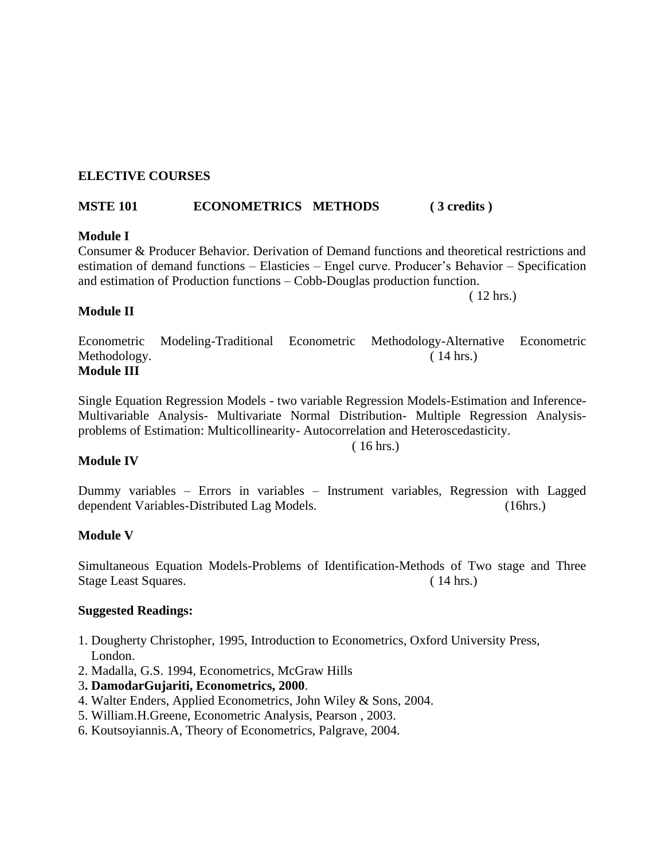#### **ELECTIVE COURSES**

#### **MSTE 101 ECONOMETRICS METHODS ( 3 credits )**

#### **Module I**

Consumer & Producer Behavior. Derivation of Demand functions and theoretical restrictions and estimation of demand functions – Elasticies – Engel curve. Producer's Behavior – Specification and estimation of Production functions – Cobb-Douglas production function.

( 12 hrs.)

#### **Module II**

Econometric Modeling-Traditional Econometric Methodology-Alternative Econometric Methodology. (14 hrs.) **Module III**

Single Equation Regression Models - two variable Regression Models-Estimation and Inference-Multivariable Analysis- Multivariate Normal Distribution- Multiple Regression Analysisproblems of Estimation: Multicollinearity- Autocorrelation and Heteroscedasticity.

( 16 hrs.)

#### **Module IV**

Dummy variables – Errors in variables – Instrument variables, Regression with Lagged dependent Variables-Distributed Lag Models. (16hrs.)

#### **Module V**

Simultaneous Equation Models-Problems of Identification-Methods of Two stage and Three Stage Least Squares. (14 hrs.)

- 1. Dougherty Christopher, 1995, Introduction to Econometrics, Oxford University Press, London.
- 2. Madalla, G.S. 1994, Econometrics, McGraw Hills
- 3**. DamodarGujariti, Econometrics, 2000**.
- 4. Walter Enders, Applied Econometrics, John Wiley & Sons, 2004.
- 5. William.H.Greene, Econometric Analysis, Pearson , 2003.
- 6. Koutsoyiannis.A, Theory of Econometrics, Palgrave, 2004.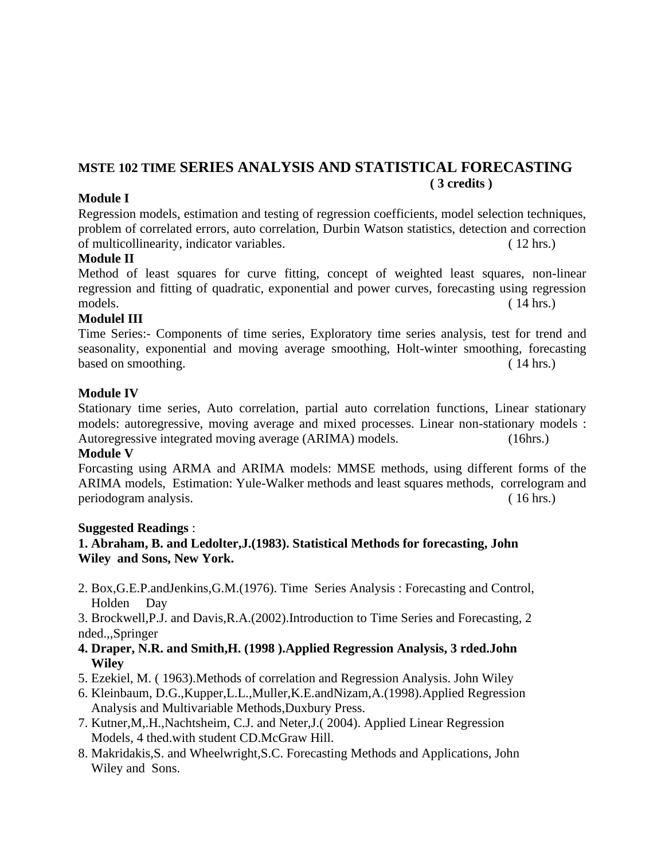## **MSTE 102 TIME SERIES ANALYSIS AND STATISTICAL FORECASTING ( 3 credits )**

#### **Module I**

Regression models, estimation and testing of regression coefficients, model selection techniques, problem of correlated errors, auto correlation, Durbin Watson statistics, detection and correction of multicollinearity, indicator variables. ( 12 hrs.)

#### **Module II**

Method of least squares for curve fitting, concept of weighted least squares, non-linear regression and fitting of quadratic, exponential and power curves, forecasting using regression models. ( 14 hrs.)

#### **Modulel III**

Time Series:- Components of time series, Exploratory time series analysis, test for trend and seasonality, exponential and moving average smoothing, Holt-winter smoothing, forecasting based on smoothing. (14 hrs.)

#### **Module IV**

Stationary time series, Auto correlation, partial auto correlation functions, Linear stationary models: autoregressive, moving average and mixed processes. Linear non-stationary models : Autoregressive integrated moving average (ARIMA) models. (16hrs.)

#### **Module V**

Forcasting using ARMA and ARIMA models: MMSE methods, using different forms of the ARIMA models, Estimation: Yule-Walker methods and least squares methods, correlogram and periodogram analysis. ( 16 hrs.)

#### **Suggested Readings** :

## **1. Abraham, B. and Ledolter,J.(1983). Statistical Methods for forecasting, John Wiley and Sons, New York.**

- 2. Box,G.E.P.andJenkins,G.M.(1976). Time Series Analysis : Forecasting and Control, Holden Day
- 3. Brockwell,P.J. and Davis,R.A.(2002).Introduction to Time Series and Forecasting, 2 nded.,,Springer
- **4. Draper, N.R. and Smith,H. (1998 ).Applied Regression Analysis, 3 rded.John Wiley**
- 5. Ezekiel, M. ( 1963).Methods of correlation and Regression Analysis. John Wiley
- 6. Kleinbaum, D.G.,Kupper,L.L.,Muller,K.E.andNizam,A.(1998).Applied Regression Analysis and Multivariable Methods,Duxbury Press.
- 7. Kutner,M,.H.,Nachtsheim, C.J. and Neter,J.( 2004). Applied Linear Regression Models, 4 thed.with student CD.McGraw Hill.
- 8. Makridakis,S. and Wheelwright,S.C. Forecasting Methods and Applications, John Wiley and Sons.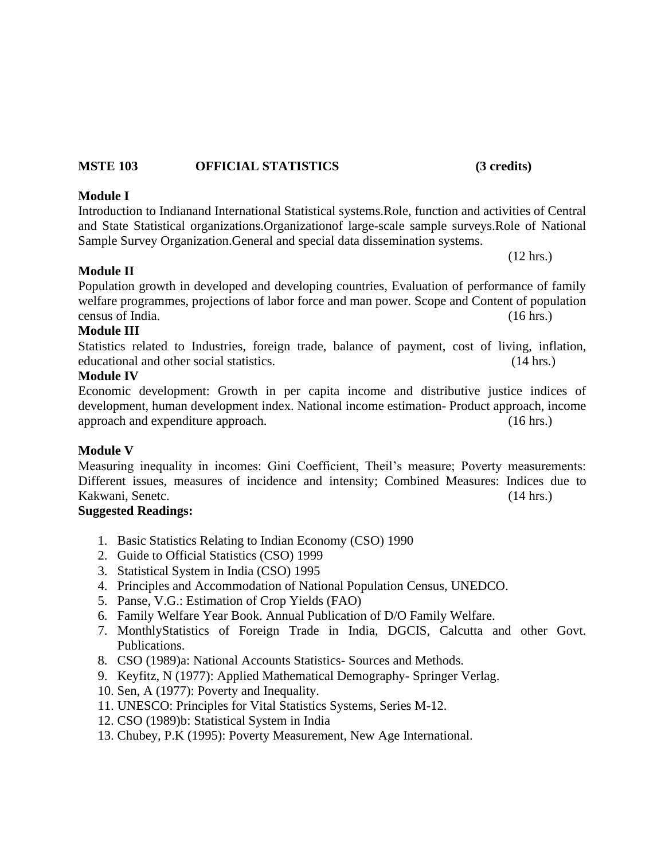#### **MSTE 103 OFFICIAL STATISTICS (3 credits)**

#### **Module I**

Introduction to Indianand International Statistical systems.Role, function and activities of Central and State Statistical organizations.Organizationof large-scale sample surveys.Role of National Sample Survey Organization.General and special data dissemination systems.

**Module II**

Population growth in developed and developing countries, Evaluation of performance of family welfare programmes, projections of labor force and man power. Scope and Content of population census of India. (16 hrs.)

#### **Module III**

Statistics related to Industries, foreign trade, balance of payment, cost of living, inflation, educational and other social statistics. (14 hrs.)

#### **Module IV**

Economic development: Growth in per capita income and distributive justice indices of development, human development index. National income estimation- Product approach, income approach and expenditure approach. (16 hrs.)

#### **Module V**

Measuring inequality in incomes: Gini Coefficient, Theil's measure; Poverty measurements: Different issues, measures of incidence and intensity; Combined Measures: Indices due to Kakwani, Senetc. (14 hrs.)

#### **Suggested Readings:**

- 1. Basic Statistics Relating to Indian Economy (CSO) 1990
- 2. Guide to Official Statistics (CSO) 1999
- 3. Statistical System in India (CSO) 1995
- 4. Principles and Accommodation of National Population Census, UNEDCO.
- 5. Panse, V.G.: Estimation of Crop Yields (FAO)
- 6. Family Welfare Year Book. Annual Publication of D/O Family Welfare.
- 7. MonthlyStatistics of Foreign Trade in India, DGCIS, Calcutta and other Govt. Publications.
- 8. CSO (1989)a: National Accounts Statistics- Sources and Methods.
- 9. Keyfitz, N (1977): Applied Mathematical Demography- Springer Verlag.
- 10. Sen, A (1977): Poverty and Inequality.
- 11. UNESCO: Principles for Vital Statistics Systems, Series M-12.
- 12. CSO (1989)b: Statistical System in India
- 13. Chubey, P.K (1995): Poverty Measurement, New Age International.

(12 hrs.)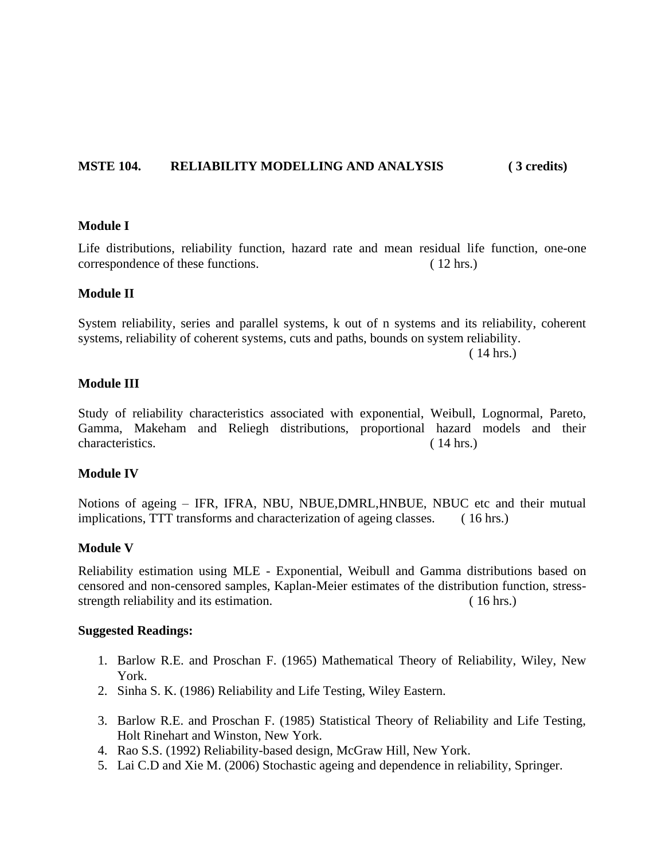#### **MSTE 104. RELIABILITY MODELLING AND ANALYSIS ( 3 credits)**

#### **Module I**

Life distributions, reliability function, hazard rate and mean residual life function, one-one correspondence of these functions. ( 12 hrs.)

#### **Module II**

System reliability, series and parallel systems, k out of n systems and its reliability, coherent systems, reliability of coherent systems, cuts and paths, bounds on system reliability.

( 14 hrs.)

#### **Module III**

Study of reliability characteristics associated with exponential, Weibull, Lognormal, Pareto, Gamma, Makeham and Reliegh distributions, proportional hazard models and their characteristics. (14 hrs.)

#### **Module IV**

Notions of ageing – IFR, IFRA, NBU, NBUE,DMRL,HNBUE, NBUC etc and their mutual implications, TTT transforms and characterization of ageing classes. ( 16 hrs.)

#### **Module V**

Reliability estimation using MLE - Exponential, Weibull and Gamma distributions based on censored and non-censored samples, Kaplan-Meier estimates of the distribution function, stressstrength reliability and its estimation. (16 hrs.)

- 1. Barlow R.E. and Proschan F. (1965) Mathematical Theory of Reliability, Wiley, New York.
- 2. Sinha S. K. (1986) Reliability and Life Testing, Wiley Eastern.
- 3. Barlow R.E. and Proschan F. (1985) Statistical Theory of Reliability and Life Testing, Holt Rinehart and Winston, New York.
- 4. Rao S.S. (1992) Reliability-based design, McGraw Hill, New York.
- 5. Lai C.D and Xie M. (2006) Stochastic ageing and dependence in reliability, Springer.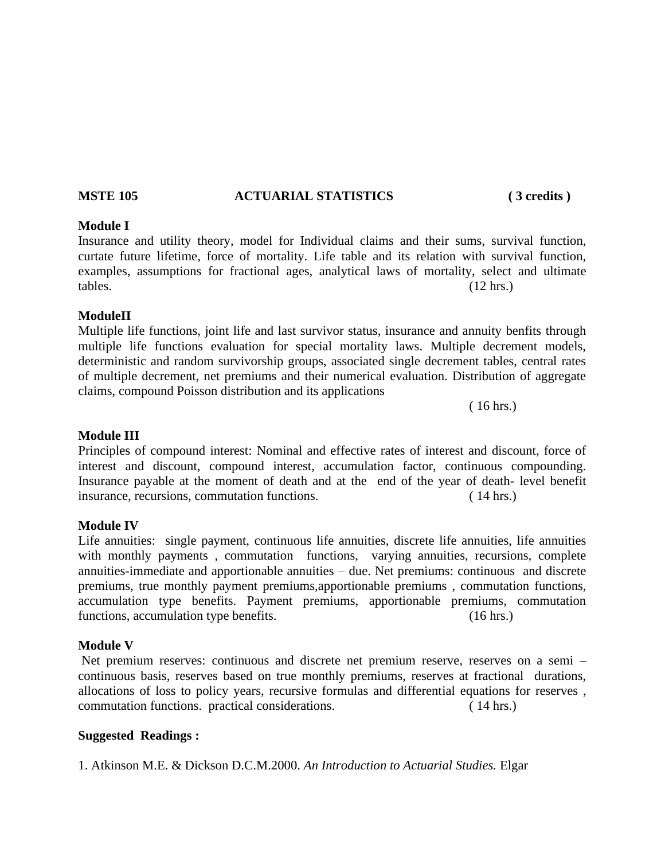#### **MSTE 105 ACTUARIAL STATISTICS ( 3 credits )**

## **Module I**

Insurance and utility theory, model for Individual claims and their sums, survival function, curtate future lifetime, force of mortality. Life table and its relation with survival function, examples, assumptions for fractional ages, analytical laws of mortality, select and ultimate tables. (12 hrs.)

#### **ModuleII**

Multiple life functions, joint life and last survivor status, insurance and annuity benfits through multiple life functions evaluation for special mortality laws. Multiple decrement models, deterministic and random survivorship groups, associated single decrement tables, central rates of multiple decrement, net premiums and their numerical evaluation. Distribution of aggregate claims, compound Poisson distribution and its applications

( 16 hrs.)

#### **Module III**

Principles of compound interest: Nominal and effective rates of interest and discount, force of interest and discount, compound interest, accumulation factor, continuous compounding. Insurance payable at the moment of death and at the end of the year of death- level benefit insurance, recursions, commutation functions. ( 14 hrs.)

#### **Module IV**

Life annuities: single payment, continuous life annuities, discrete life annuities, life annuities with monthly payments, commutation functions, varying annuities, recursions, complete annuities-immediate and apportionable annuities – due. Net premiums: continuous and discrete premiums, true monthly payment premiums,apportionable premiums , commutation functions, accumulation type benefits. Payment premiums, apportionable premiums, commutation functions, accumulation type benefits. (16 hrs.)

#### **Module V**

Net premium reserves: continuous and discrete net premium reserve, reserves on a semi – continuous basis, reserves based on true monthly premiums, reserves at fractional durations, allocations of loss to policy years, recursive formulas and differential equations for reserves , commutation functions. practical considerations. ( 14 hrs.)

#### **Suggested Readings :**

1. Atkinson M.E. & Dickson D.C.M.2000. *An Introduction to Actuarial Studies.* Elgar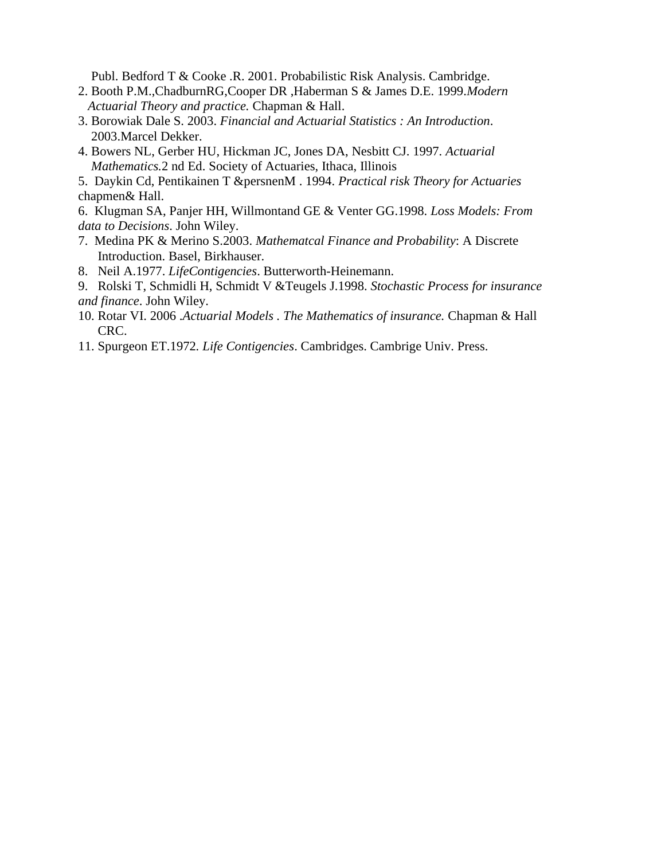Publ. Bedford T & Cooke .R. 2001. Probabilistic Risk Analysis. Cambridge.

- 2. Booth P.M.,ChadburnRG,Cooper DR ,Haberman S & James D.E. 1999.*Modern Actuarial Theory and practice.* Chapman & Hall.
- 3. Borowiak Dale S. 2003. *Financial and Actuarial Statistics : An Introduction*. 2003.Marcel Dekker.
- 4. Bowers NL, Gerber HU, Hickman JC, Jones DA, Nesbitt CJ. 1997*. Actuarial Mathematics.*2 nd Ed. Society of Actuaries, Ithaca, Illinois

5. Daykin Cd, Pentikainen T &persnenM . 1994. *Practical risk Theory for Actuaries* chapmen& Hall.

6. Klugman SA, Panjer HH, Willmontand GE & Venter GG.1998. *Loss Models: From data to Decisions*. John Wiley.

- 7. Medina PK & Merino S.2003. *Mathematcal Finance and Probability*: A Discrete Introduction. Basel, Birkhauser.
- 8. Neil A.1977. *LifeContigencies*. Butterworth-Heinemann.
- 9. Rolski T, Schmidli H, Schmidt V &Teugels J.1998. *Stochastic Process for insurance and finance*. John Wiley.
- 10. Rotar VI. 2006 .*Actuarial Models . The Mathematics of insurance.* Chapman & Hall CRC.
- 11. Spurgeon ET.1972*. Life Contigencies*. Cambridges. Cambrige Univ. Press.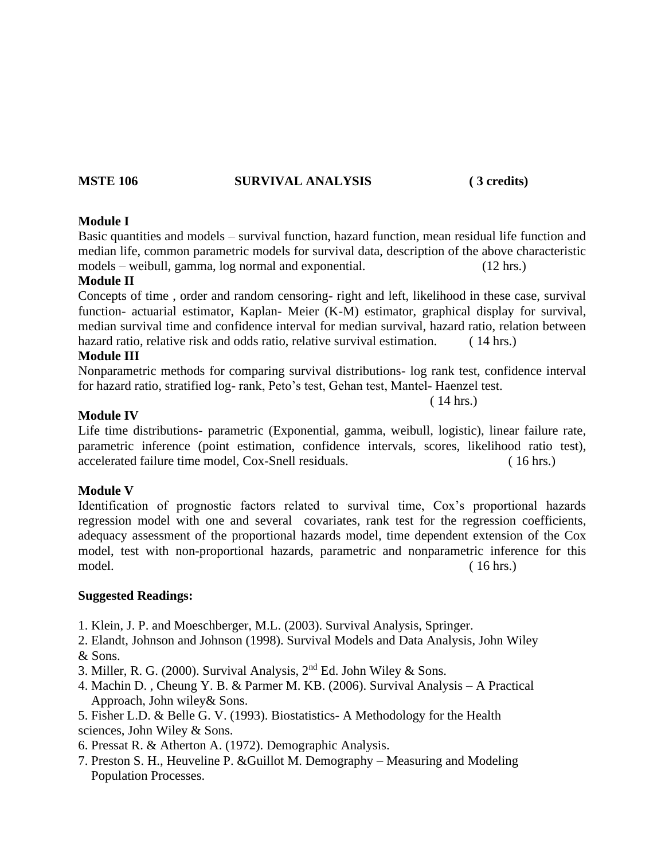#### **MSTE 106 SURVIVAL ANALYSIS ( 3 credits)**

#### **Module I**

Basic quantities and models – survival function, hazard function, mean residual life function and median life, common parametric models for survival data, description of the above characteristic models – weibull, gamma, log normal and exponential. (12 hrs.)

#### **Module II**

Concepts of time , order and random censoring- right and left, likelihood in these case, survival function- actuarial estimator, Kaplan- Meier (K-M) estimator, graphical display for survival, median survival time and confidence interval for median survival, hazard ratio, relation between hazard ratio, relative risk and odds ratio, relative survival estimation. (14 hrs.)

#### **Module III**

Nonparametric methods for comparing survival distributions- log rank test, confidence interval for hazard ratio, stratified log- rank, Peto's test, Gehan test, Mantel- Haenzel test.

( 14 hrs.)

#### **Module IV**

Life time distributions- parametric (Exponential, gamma, weibull, logistic), linear failure rate, parametric inference (point estimation, confidence intervals, scores, likelihood ratio test), accelerated failure time model, Cox-Snell residuals. ( 16 hrs.)

#### **Module V**

Identification of prognostic factors related to survival time, Cox's proportional hazards regression model with one and several covariates, rank test for the regression coefficients, adequacy assessment of the proportional hazards model, time dependent extension of the Cox model, test with non-proportional hazards, parametric and nonparametric inference for this model. ( 16 hrs.)

- 1. Klein, J. P. and Moeschberger, M.L. (2003). Survival Analysis, Springer.
- 2. Elandt, Johnson and Johnson (1998). Survival Models and Data Analysis, John Wiley & Sons.
- 3. Miller, R. G. (2000). Survival Analysis,  $2<sup>nd</sup>$  Ed. John Wiley & Sons.
- 4. Machin D. , Cheung Y. B. & Parmer M. KB. (2006). Survival Analysis A Practical Approach, John wiley& Sons.
- 5. Fisher L.D. & Belle G. V. (1993). Biostatistics- A Methodology for the Health sciences, John Wiley & Sons.
- 6. Pressat R. & Atherton A. (1972). Demographic Analysis.
- 7. Preston S. H., Heuveline P. &Guillot M. Demography Measuring and Modeling Population Processes.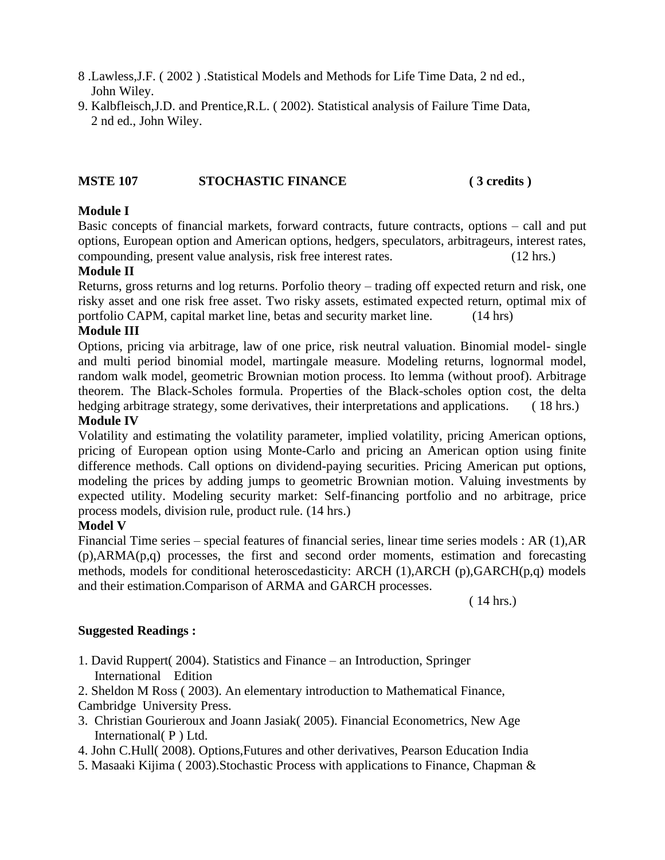- 8 .Lawless,J.F. ( 2002 ) .Statistical Models and Methods for Life Time Data, 2 nd ed., John Wiley.
- 9. Kalbfleisch,J.D. and Prentice,R.L. ( 2002). Statistical analysis of Failure Time Data, 2 nd ed., John Wiley.

#### **MSTE 107 STOCHASTIC FINANCE ( 3 credits )**

#### **Module I**

Basic concepts of financial markets, forward contracts, future contracts, options – call and put options, European option and American options, hedgers, speculators, arbitrageurs, interest rates, compounding, present value analysis, risk free interest rates. (12 hrs.)

#### **Module II**

Returns, gross returns and log returns. Porfolio theory – trading off expected return and risk, one risky asset and one risk free asset. Two risky assets, estimated expected return, optimal mix of portfolio CAPM, capital market line, betas and security market line. (14 hrs)

#### **Module III**

Options, pricing via arbitrage, law of one price, risk neutral valuation. Binomial model- single and multi period binomial model, martingale measure. Modeling returns, lognormal model, random walk model, geometric Brownian motion process. Ito lemma (without proof). Arbitrage theorem. The Black-Scholes formula. Properties of the Black-scholes option cost, the delta hedging arbitrage strategy, some derivatives, their interpretations and applications. (18 hrs.)

#### **Module IV**

Volatility and estimating the volatility parameter, implied volatility, pricing American options, pricing of European option using Monte-Carlo and pricing an American option using finite difference methods. Call options on dividend-paying securities. Pricing American put options, modeling the prices by adding jumps to geometric Brownian motion. Valuing investments by expected utility. Modeling security market: Self-financing portfolio and no arbitrage, price process models, division rule, product rule. (14 hrs.)

#### **Model V**

Financial Time series – special features of financial series, linear time series models : AR (1),AR (p),ARMA(p,q) processes, the first and second order moments, estimation and forecasting methods, models for conditional heteroscedasticity: ARCH (1), ARCH (p), GARCH(p,q) models and their estimation.Comparison of ARMA and GARCH processes.

( 14 hrs.)

- 1. David Ruppert( 2004). Statistics and Finance an Introduction, Springer International Edition
- 2. Sheldon M Ross ( 2003). An elementary introduction to Mathematical Finance, Cambridge University Press.
- 3. Christian Gourieroux and Joann Jasiak( 2005). Financial Econometrics, New Age International( P ) Ltd.
- 4. John C.Hull( 2008). Options,Futures and other derivatives, Pearson Education India
- 5. Masaaki Kijima ( 2003).Stochastic Process with applications to Finance, Chapman &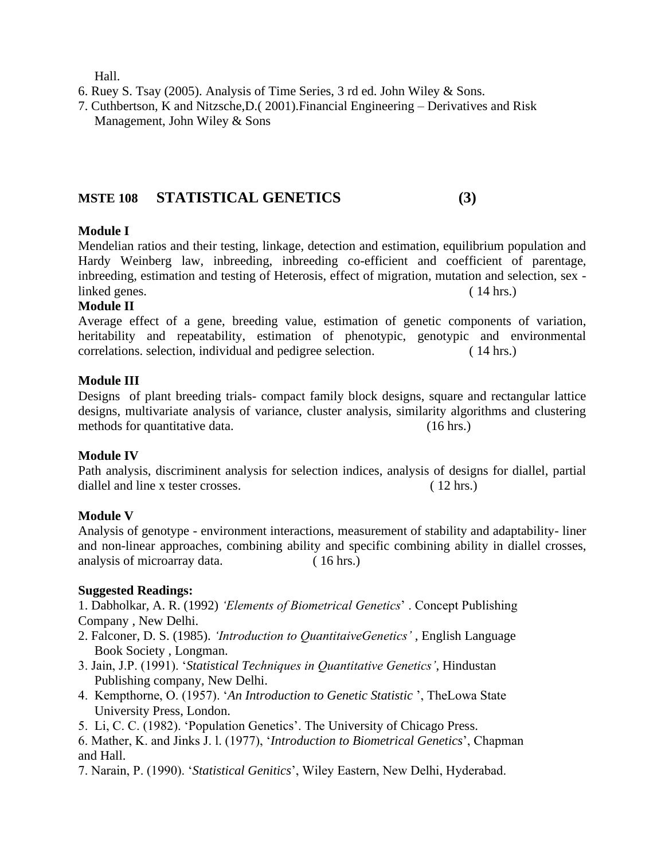Hall.

- 6. Ruey S. Tsay (2005). Analysis of Time Series, 3 rd ed. John Wiley & Sons.
- 7. Cuthbertson, K and Nitzsche,D.( 2001).Financial Engineering Derivatives and Risk Management, John Wiley & Sons

## **MSTE 108 STATISTICAL GENETICS (3)**

#### **Module I**

Mendelian ratios and their testing, linkage, detection and estimation, equilibrium population and Hardy Weinberg law, inbreeding, inbreeding co-efficient and coefficient of parentage, inbreeding, estimation and testing of Heterosis, effect of migration, mutation and selection, sex linked genes. ( 14 hrs.)

#### **Module II**

Average effect of a gene, breeding value, estimation of genetic components of variation, heritability and repeatability, estimation of phenotypic, genotypic and environmental correlations. selection, individual and pedigree selection. ( 14 hrs.)

#### **Module III**

Designs of plant breeding trials- compact family block designs, square and rectangular lattice designs, multivariate analysis of variance, cluster analysis, similarity algorithms and clustering methods for quantitative data. (16 hrs.)

#### **Module IV**

Path analysis, discriminent analysis for selection indices, analysis of designs for diallel, partial diallel and line x tester crosses. (12 hrs.)

#### **Module V**

Analysis of genotype - environment interactions, measurement of stability and adaptability- liner and non-linear approaches, combining ability and specific combining ability in diallel crosses, analysis of microarray data. (16 hrs.)

#### **Suggested Readings:**

1. Dabholkar, A. R. (1992) *'Elements of Biometrical Genetics*' . Concept Publishing Company , New Delhi.

- 2. Falconer, D. S. (1985). *'Introduction to QuantitaiveGenetics'* , English Language Book Society , Longman.
- 3. Jain, J.P. (1991). '*Statistical Techniques in Quantitative Genetics'*, Hindustan Publishing company, New Delhi.
- 4. Kempthorne, O. (1957). '*An Introduction to Genetic Statistic* ', TheLowa State University Press, London.
- 5. Li, C. C. (1982). 'Population Genetics'. The University of Chicago Press.
- 6. Mather, K. and Jinks J. l. (1977), '*Introduction to Biometrical Genetics*', Chapman and Hall.
- 7. Narain, P. (1990). '*Statistical Genitics*', Wiley Eastern, New Delhi, Hyderabad.